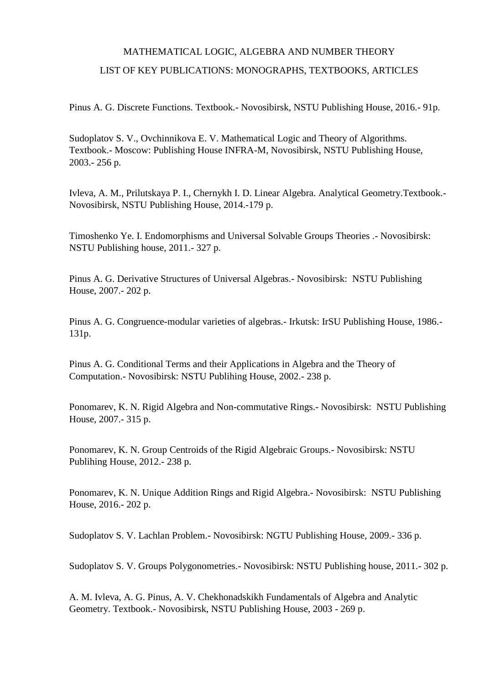## MATHEMATICAL LOGIC, ALGEBRA AND NUMBER THEORY LIST OF KEY PUBLICATIONS: MONOGRAPHS, TEXTBOOKS, ARTICLES

Pinus A. G. Discrete Functions. Textbook.- Novosibirsk, NSTU Publishing House, 2016.- 91p.

Sudoplatov S. V., Ovchinnikova E. V. Mathematical Logic and Theory of Algorithms. Textbook.- Moscow: Publishing House INFRA-M, Novosibirsk, NSTU Publishing House, 2003.- 256 p.

Ivleva, A. M., Prilutskaya P. I., Chernykh I. D. Linear Algebra. Analytical Geometry.Textbook.- Novosibirsk, NSTU Publishing House, 2014.-179 p.

Timoshenko Ye. I. Endomorphisms and Universal Solvable Groups Theories .- Novosibirsk: NSTU Publishing house, 2011.- 327 p.

Pinus A. G. Derivative Structures of Universal Algebras.- Novosibirsk: NSTU Publishing House, 2007.- 202 p.

Pinus A. G. Congruence-modular varieties of algebras.- Irkutsk: IrSU Publishing House, 1986.- 131p.

Pinus A. G. Conditional Terms and their Applications in Algebra and the Theory of Computation.- Novosibirsk: NSTU Publihing House, 2002.- 238 p.

Ponomarev, K. N. Rigid Algebra and Non-commutative Rings.- Novosibirsk: NSTU Publishing House, 2007.- 315 p.

Ponomarev, K. N. Group Centroids of the Rigid Algebraic Groups.- Novosibirsk: NSTU Publihing House, 2012.- 238 p.

Ponomarev, K. N. Unique Addition Rings and Rigid Algebra.- Novosibirsk: NSTU Publishing House, 2016.- 202 p.

Sudoplatov S. V. Lachlan Problem.- Novosibirsk: NGTU Publishing House, 2009.- 336 p.

Sudoplatov S. V. Groups Polygonometries.- Novosibirsk: NSTU Publishing house, 2011.- 302 p.

A. M. Ivleva, A. G. Pinus, A. V. Chekhonadskikh Fundamentals of Algebra and Analytic Geometry. Textbook.- Novosibirsk, NSTU Publishing House, 2003 - 269 p.